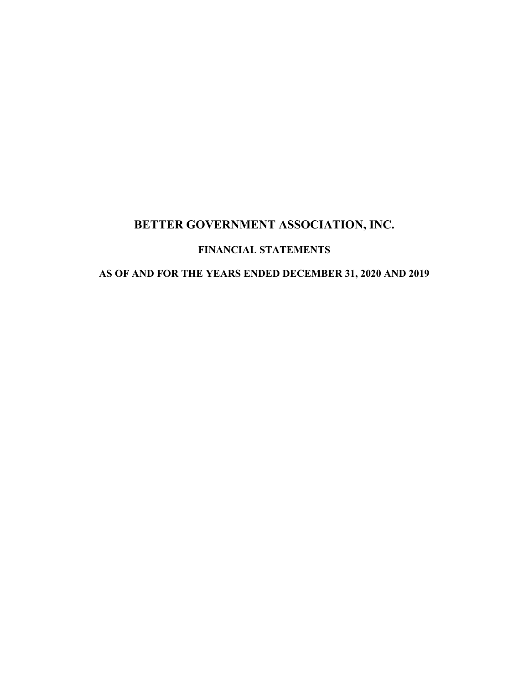# **FINANCIAL STATEMENTS**

# **AS OF AND FOR THE YEARS ENDED DECEMBER 31, 2020 AND 2019**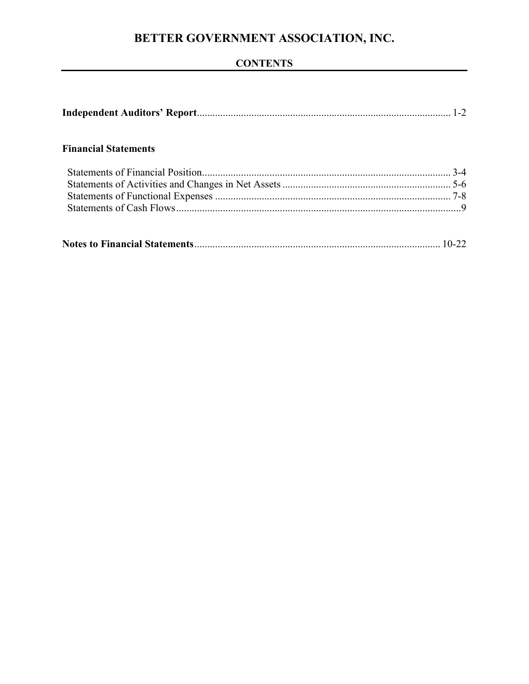# **CONTENTS**

## **Financial Statements**

|--|--|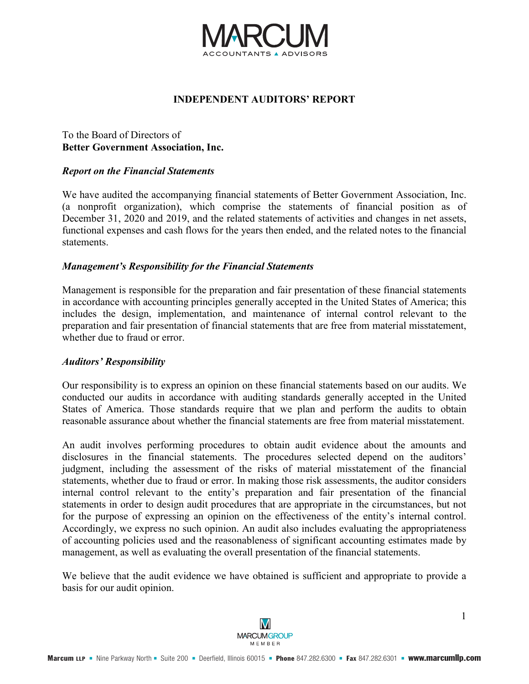

## **INDEPENDENT AUDITORS' REPORT**

To the Board of Directors of **Better Government Association, Inc.**

#### *Report on the Financial Statements*

We have audited the accompanying financial statements of Better Government Association, Inc. (a nonprofit organization), which comprise the statements of financial position as of December 31, 2020 and 2019, and the related statements of activities and changes in net assets, functional expenses and cash flows for the years then ended, and the related notes to the financial statements.

### *Management's Responsibility for the Financial Statements*

Management is responsible for the preparation and fair presentation of these financial statements in accordance with accounting principles generally accepted in the United States of America; this includes the design, implementation, and maintenance of internal control relevant to the preparation and fair presentation of financial statements that are free from material misstatement, whether due to fraud or error.

#### *Auditors' Responsibility*

Our responsibility is to express an opinion on these financial statements based on our audits. We conducted our audits in accordance with auditing standards generally accepted in the United States of America. Those standards require that we plan and perform the audits to obtain reasonable assurance about whether the financial statements are free from material misstatement.

An audit involves performing procedures to obtain audit evidence about the amounts and disclosures in the financial statements. The procedures selected depend on the auditors' judgment, including the assessment of the risks of material misstatement of the financial statements, whether due to fraud or error. In making those risk assessments, the auditor considers internal control relevant to the entity's preparation and fair presentation of the financial statements in order to design audit procedures that are appropriate in the circumstances, but not for the purpose of expressing an opinion on the effectiveness of the entity's internal control. Accordingly, we express no such opinion. An audit also includes evaluating the appropriateness of accounting policies used and the reasonableness of significant accounting estimates made by management, as well as evaluating the overall presentation of the financial statements.

We believe that the audit evidence we have obtained is sufficient and appropriate to provide a basis for our audit opinion.

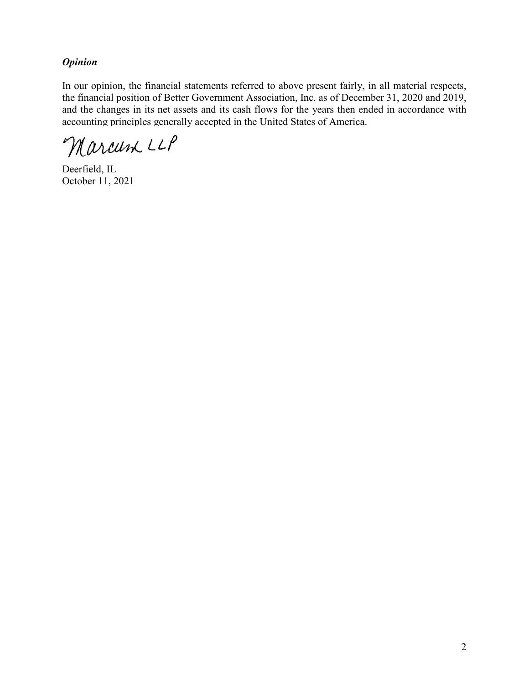*Opinion*

In our opinion, the financial statements referred to above present fairly, in all material respects, the financial position of Better Government Association, Inc. as of December 31, 2020 and 2019, and the changes in its net assets and its cash flows for the years then ended in accordance with accounting principles generally accepted in the United States of America.

Marcum LLP

Deerfield, IL October 11, 2021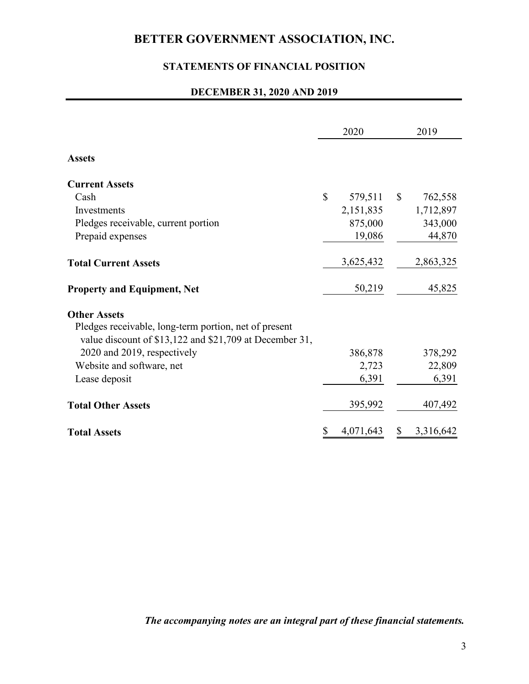# **STATEMENTS OF FINANCIAL POSITION**

## **DECEMBER 31, 2020 AND 2019**

|                                                                                                                                         | 2020          |              | 2019      |
|-----------------------------------------------------------------------------------------------------------------------------------------|---------------|--------------|-----------|
| <b>Assets</b>                                                                                                                           |               |              |           |
| <b>Current Assets</b>                                                                                                                   |               |              |           |
| Cash                                                                                                                                    | \$<br>579,511 | $\mathbb{S}$ | 762,558   |
| Investments                                                                                                                             | 2,151,835     |              | 1,712,897 |
| Pledges receivable, current portion                                                                                                     | 875,000       |              | 343,000   |
| Prepaid expenses                                                                                                                        | 19,086        |              | 44,870    |
| <b>Total Current Assets</b>                                                                                                             | 3,625,432     |              | 2,863,325 |
| <b>Property and Equipment, Net</b>                                                                                                      | 50,219        |              | 45,825    |
| <b>Other Assets</b><br>Pledges receivable, long-term portion, net of present<br>value discount of \$13,122 and \$21,709 at December 31, |               |              |           |
| 2020 and 2019, respectively                                                                                                             | 386,878       |              | 378,292   |
| Website and software, net                                                                                                               | 2,723         |              | 22,809    |
| Lease deposit                                                                                                                           | 6,391         |              | 6,391     |
| <b>Total Other Assets</b>                                                                                                               | 395,992       |              | 407,492   |
| <b>Total Assets</b>                                                                                                                     | 4,071,643     | \$           | 3,316,642 |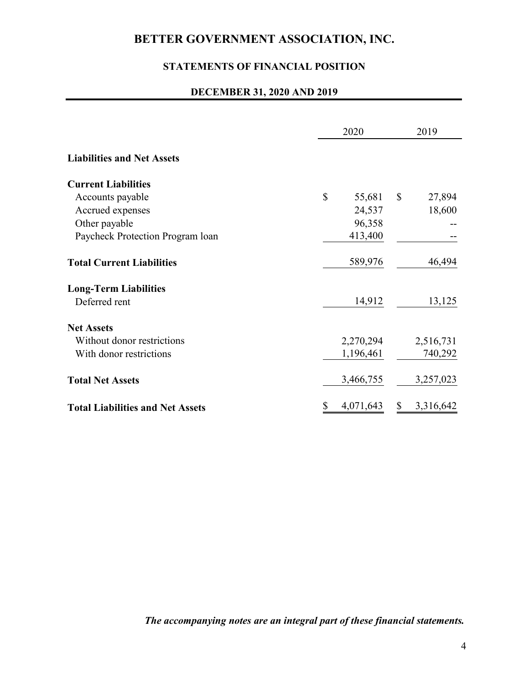# **STATEMENTS OF FINANCIAL POSITION**

## **DECEMBER 31, 2020 AND 2019**

|                                         | 2020            | 2019                                |
|-----------------------------------------|-----------------|-------------------------------------|
| <b>Liabilities and Net Assets</b>       |                 |                                     |
| <b>Current Liabilities</b>              |                 |                                     |
| Accounts payable                        | \$<br>55,681    | $\boldsymbol{\mathsf{S}}$<br>27,894 |
| Accrued expenses                        | 24,537          | 18,600                              |
| Other payable                           | 96,358          |                                     |
| Paycheck Protection Program loan        | 413,400         |                                     |
| <b>Total Current Liabilities</b>        | 589,976         | 46,494                              |
| <b>Long-Term Liabilities</b>            |                 |                                     |
| Deferred rent                           | 14,912          | 13,125                              |
| <b>Net Assets</b>                       |                 |                                     |
| Without donor restrictions              | 2,270,294       | 2,516,731                           |
| With donor restrictions                 | 1,196,461       | 740,292                             |
| <b>Total Net Assets</b>                 | 3,466,755       | 3,257,023                           |
| <b>Total Liabilities and Net Assets</b> | 4,071,643<br>\$ | 3,316,642<br>$\mathbb{S}$           |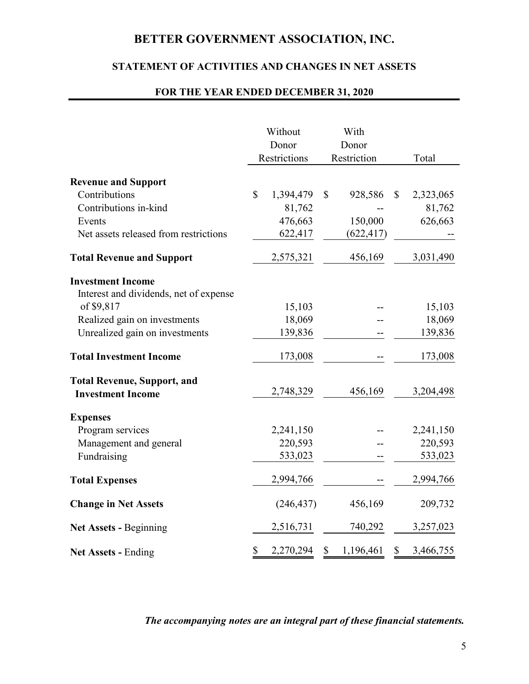# **STATEMENT OF ACTIVITIES AND CHANGES IN NET ASSETS**

# **FOR THE YEAR ENDED DECEMBER 31, 2020**

|                                        | Without<br>Donor<br>Restrictions |            | With<br>Donor<br>Restriction |            |              | Total     |
|----------------------------------------|----------------------------------|------------|------------------------------|------------|--------------|-----------|
| <b>Revenue and Support</b>             |                                  |            |                              |            |              |           |
| Contributions                          | $\mathbb{S}$                     | 1,394,479  | \$                           | 928,586    | $\mathbb{S}$ | 2,323,065 |
| Contributions in-kind                  |                                  | 81,762     |                              |            |              | 81,762    |
| Events                                 |                                  | 476,663    |                              | 150,000    |              | 626,663   |
| Net assets released from restrictions  |                                  | 622,417    |                              | (622, 417) |              |           |
| <b>Total Revenue and Support</b>       |                                  | 2,575,321  |                              | 456,169    |              | 3,031,490 |
| <b>Investment Income</b>               |                                  |            |                              |            |              |           |
| Interest and dividends, net of expense |                                  |            |                              |            |              |           |
| of \$9,817                             |                                  | 15,103     |                              |            |              | 15,103    |
| Realized gain on investments           |                                  | 18,069     |                              |            |              | 18,069    |
| Unrealized gain on investments         |                                  | 139,836    |                              |            |              | 139,836   |
| <b>Total Investment Income</b>         |                                  | 173,008    |                              |            |              | 173,008   |
| <b>Total Revenue, Support, and</b>     |                                  |            |                              |            |              |           |
| <b>Investment Income</b>               |                                  | 2,748,329  |                              | 456,169    |              | 3,204,498 |
| <b>Expenses</b>                        |                                  |            |                              |            |              |           |
| Program services                       |                                  | 2,241,150  |                              |            |              | 2,241,150 |
| Management and general                 |                                  | 220,593    |                              |            |              | 220,593   |
| Fundraising                            |                                  | 533,023    |                              |            |              | 533,023   |
| <b>Total Expenses</b>                  |                                  | 2,994,766  |                              |            |              | 2,994,766 |
| <b>Change in Net Assets</b>            |                                  | (246, 437) |                              | 456,169    |              | 209,732   |
| <b>Net Assets - Beginning</b>          |                                  | 2,516,731  |                              | 740,292    |              | 3,257,023 |
| <b>Net Assets - Ending</b>             | \$                               | 2,270,294  | \$                           | 1,196,461  | \$           | 3,466,755 |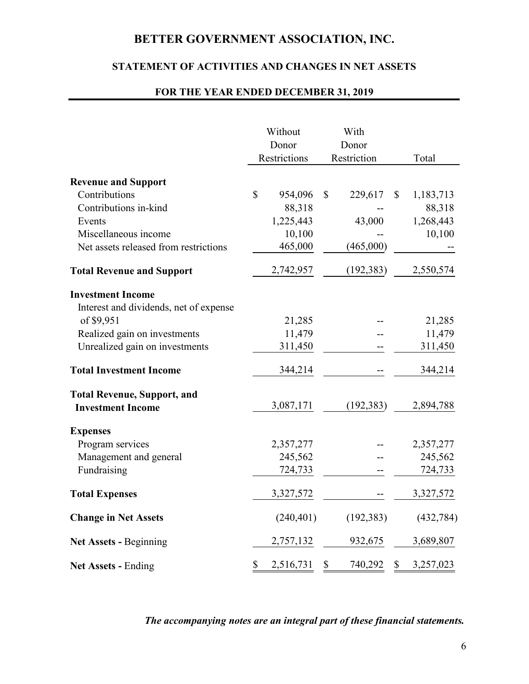# **STATEMENT OF ACTIVITIES AND CHANGES IN NET ASSETS**

# **FOR THE YEAR ENDED DECEMBER 31, 2019**

|                                        |              | Without<br>Donor<br>Restrictions |              | With<br>Donor<br>Restriction | Total           |
|----------------------------------------|--------------|----------------------------------|--------------|------------------------------|-----------------|
| <b>Revenue and Support</b>             |              |                                  |              |                              |                 |
| Contributions                          | $\mathbb{S}$ | 954,096                          | $\mathbb{S}$ | 229,617                      | \$<br>1,183,713 |
| Contributions in-kind                  |              | 88,318                           |              |                              | 88,318          |
| Events                                 |              | 1,225,443                        |              | 43,000                       | 1,268,443       |
| Miscellaneous income                   |              | 10,100                           |              |                              | 10,100          |
| Net assets released from restrictions  |              | 465,000                          |              | (465,000)                    |                 |
| <b>Total Revenue and Support</b>       |              | 2,742,957                        |              | (192, 383)                   | 2,550,574       |
| <b>Investment Income</b>               |              |                                  |              |                              |                 |
| Interest and dividends, net of expense |              |                                  |              |                              |                 |
| of \$9,951                             |              | 21,285                           |              |                              | 21,285          |
| Realized gain on investments           |              | 11,479                           |              |                              | 11,479          |
| Unrealized gain on investments         |              | 311,450                          |              |                              | 311,450         |
| <b>Total Investment Income</b>         |              | 344,214                          |              |                              | 344,214         |
| <b>Total Revenue, Support, and</b>     |              |                                  |              |                              |                 |
| <b>Investment Income</b>               |              | 3,087,171                        |              | (192, 383)                   | 2,894,788       |
| <b>Expenses</b>                        |              |                                  |              |                              |                 |
| Program services                       |              | 2,357,277                        |              |                              | 2,357,277       |
| Management and general                 |              | 245,562                          |              |                              | 245,562         |
| Fundraising                            |              | 724,733                          |              |                              | 724,733         |
| <b>Total Expenses</b>                  |              | 3,327,572                        |              |                              | 3,327,572       |
| <b>Change in Net Assets</b>            |              | (240, 401)                       |              | (192, 383)                   | (432, 784)      |
| <b>Net Assets - Beginning</b>          |              | 2,757,132                        |              | 932,675                      | 3,689,807       |
| Net Assets - Ending                    | \$           | 2,516,731                        | \$           | 740,292                      | \$<br>3,257,023 |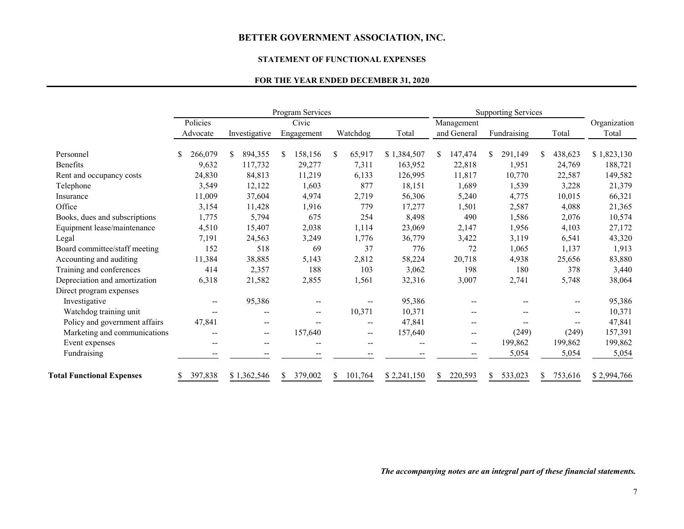### **STATEMENT OF FUNCTIONAL EXPENSES**

#### **FOR THE YEAR ENDED DECEMBER 31, 2020**

|                                  | Program Services         |                          |                          |                          |             | <b>Supporting Services</b> |                |                   |              |
|----------------------------------|--------------------------|--------------------------|--------------------------|--------------------------|-------------|----------------------------|----------------|-------------------|--------------|
|                                  | Policies                 |                          | Civic                    |                          |             | Management                 |                |                   | Organization |
|                                  | Advocate                 | Investigative            | Engagement               | Watchdog                 | Total       | and General                | Fundraising    | Total             | Total        |
|                                  |                          |                          |                          |                          |             |                            |                |                   |              |
| Personnel                        | 266,079<br>\$.           | 894,355<br>S.            | 158,156                  | <sup>\$</sup><br>65,917  | \$1,384,507 | 147,474<br>S               | 291,149<br>\$. | 438,623<br>\$     | \$1,823,130  |
| Benefits                         | 9,632                    | 117,732                  | 29,277                   | 7,311                    | 163,952     | 22,818                     | 1,951          | 24,769            | 188,721      |
| Rent and occupancy costs         | 24,830                   | 84,813                   | 11,219                   | 6,133                    | 126,995     | 11,817                     | 10,770         | 22,587            | 149,582      |
| Telephone                        | 3,549                    | 12,122                   | 1,603                    | 877                      | 18,151      | 1,689                      | 1,539          | 3,228             | 21,379       |
| Insurance                        | 11,009                   | 37,604                   | 4,974                    | 2,719                    | 56,306      | 5,240                      | 4,775          | 10,015            | 66,321       |
| Office                           | 3,154                    | 11,428                   | 1,916                    | 779                      | 17,277      | 1,501                      | 2,587          | 4,088             | 21,365       |
| Books, dues and subscriptions    | 1,775                    | 5,794                    | 675                      | 254                      | 8,498       | 490                        | 1,586          | 2,076             | 10,574       |
| Equipment lease/maintenance      | 4,510                    | 15,407                   | 2,038                    | 1,114                    | 23,069      | 2,147                      | 1,956          | 4,103             | 27,172       |
| Legal                            | 7,191                    | 24,563                   | 3,249                    | 1,776                    | 36,779      | 3,422                      | 3,119          | 6,541             | 43,320       |
| Board committee/staff meeting    | 152                      | 518                      | 69                       | 37                       | 776         | 72                         | 1,065          | 1,137             | 1,913        |
| Accounting and auditing          | 11,384                   | 38,885                   | 5,143                    | 2,812                    | 58,224      | 20,718                     | 4,938          | 25,656            | 83,880       |
| Training and conferences         | 414                      | 2,357                    | 188                      | 103                      | 3,062       | 198                        | 180            | 378               | 3,440        |
| Depreciation and amortization    | 6,318                    | 21,582                   | 2,855                    | 1,561                    | 32,316      | 3,007                      | 2,741          | 5,748             | 38,064       |
| Direct program expenses          |                          |                          |                          |                          |             |                            |                |                   |              |
| Investigative                    | $\overline{\phantom{a}}$ | 95,386                   | --                       | --                       | 95,386      |                            |                | $\qquad \qquad -$ | 95,386       |
| Watchdog training unit           | --                       | $\overline{\phantom{m}}$ | −−                       | 10,371                   | 10,371      | $\overline{\phantom{m}}$   | $-$            | $\qquad \qquad -$ | 10,371       |
| Policy and government affairs    | 47,841                   | $\overline{\phantom{m}}$ | $-$                      | --                       | 47,841      | --                         |                | --                | 47,841       |
| Marketing and communications     | --                       | $\overline{\phantom{a}}$ | 157,640                  | $\overline{\phantom{m}}$ | 157,640     | $\overline{\phantom{m}}$   | (249)          | (249)             | 157,391      |
| Event expenses                   | $- -$                    | $-$                      | $\qquad \qquad -$        | $\overline{\phantom{a}}$ | $-$         | $\overline{\phantom{m}}$   | 199,862        | 199,862           | 199,862      |
| Fundraising                      | --                       | $\overline{\phantom{m}}$ | $\overline{\phantom{a}}$ | --                       | $-$         | $\overline{\phantom{m}}$   | 5,054          | 5,054             | 5,054        |
| <b>Total Functional Expenses</b> | 397,838                  | \$1,362,546              | 379,002                  | \$.<br>101,764           | \$2,241,150 | 220,593                    | \$.<br>533,023 | \$<br>753,616     | \$2,994,766  |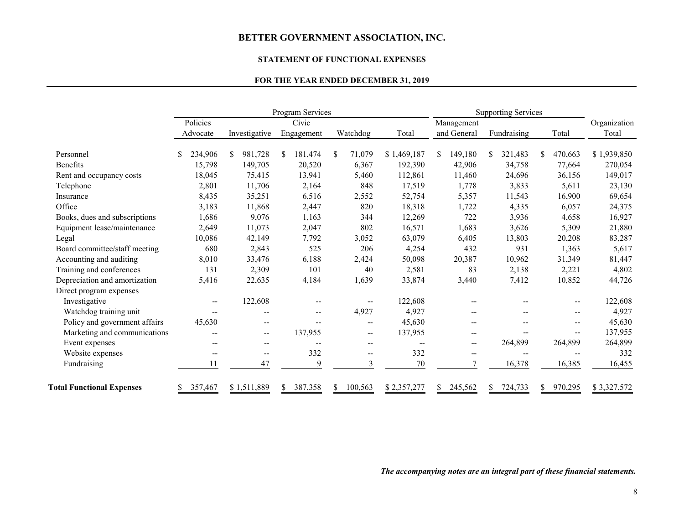### **STATEMENT OF FUNCTIONAL EXPENSES**

#### **FOR THE YEAR ENDED DECEMBER 31, 2019**

|                                  |    |          |                          |    | Program Services         |                          |             | <b>Supporting Services</b> |                          |    |                          |    |                          |              |  |       |
|----------------------------------|----|----------|--------------------------|----|--------------------------|--------------------------|-------------|----------------------------|--------------------------|----|--------------------------|----|--------------------------|--------------|--|-------|
|                                  |    | Policies |                          |    | Civic                    |                          |             |                            | Management               |    |                          |    |                          | Organization |  |       |
|                                  |    | Advocate | Investigative            |    | Engagement               | Watchdog                 | Total       |                            | and General              |    | Fundraising              |    | Total                    |              |  | Total |
| Personnel                        | S  | 234,906  | \$<br>981,728            | S. | 181,474                  | \$<br>71,079             | \$1,469,187 | S.                         | 149,180                  | \$ | 321,483                  | \$ | 470,663                  | \$1,939,850  |  |       |
| Benefits                         |    | 15,798   | 149,705                  |    | 20,520                   | 6,367                    | 192,390     |                            | 42,906                   |    | 34,758                   |    | 77,664                   | 270,054      |  |       |
| Rent and occupancy costs         |    | 18,045   | 75,415                   |    | 13,941                   | 5,460                    | 112,861     |                            | 11,460                   |    | 24,696                   |    | 36,156                   | 149,017      |  |       |
| Telephone                        |    | 2,801    | 11,706                   |    | 2,164                    | 848                      | 17,519      |                            | 1,778                    |    | 3,833                    |    | 5,611                    | 23,130       |  |       |
| Insurance                        |    | 8,435    | 35,251                   |    | 6,516                    | 2,552                    | 52,754      |                            | 5,357                    |    | 11,543                   |    | 16,900                   | 69,654       |  |       |
| Office                           |    | 3,183    | 11,868                   |    | 2,447                    | 820                      | 18,318      |                            | 1,722                    |    | 4,335                    |    | 6,057                    | 24,375       |  |       |
| Books, dues and subscriptions    |    | 1,686    | 9,076                    |    | 1,163                    | 344                      | 12,269      |                            | 722                      |    | 3,936                    |    | 4,658                    | 16,927       |  |       |
| Equipment lease/maintenance      |    | 2,649    | 11,073                   |    | 2,047                    | 802                      | 16,571      |                            | 1,683                    |    | 3,626                    |    | 5,309                    | 21,880       |  |       |
| Legal                            |    | 10,086   | 42,149                   |    | 7,792                    | 3,052                    | 63,079      |                            | 6,405                    |    | 13,803                   |    | 20,208                   | 83,287       |  |       |
| Board committee/staff meeting    |    | 680      | 2,843                    |    | 525                      | 206                      | 4,254       |                            | 432                      |    | 931                      |    | 1,363                    | 5,617        |  |       |
| Accounting and auditing          |    | 8,010    | 33,476                   |    | 6,188                    | 2,424                    | 50,098      |                            | 20,387                   |    | 10,962                   |    | 31,349                   | 81,447       |  |       |
| Training and conferences         |    | 131      | 2,309                    |    | 101                      | 40                       | 2,581       |                            | 83                       |    | 2,138                    |    | 2,221                    | 4,802        |  |       |
| Depreciation and amortization    |    | 5,416    | 22,635                   |    | 4,184                    | 1,639                    | 33,874      |                            | 3,440                    |    | 7,412                    |    | 10,852                   | 44,726       |  |       |
| Direct program expenses          |    |          |                          |    |                          |                          |             |                            |                          |    |                          |    |                          |              |  |       |
| Investigative                    |    | --       | 122,608                  |    | $\qquad \qquad -$        | $\overline{\phantom{m}}$ | 122,608     |                            |                          |    |                          |    | --                       | 122,608      |  |       |
| Watchdog training unit           |    |          |                          |    | --                       | 4,927                    | 4,927       |                            | --                       |    | $\qquad \qquad -$        |    | $\overline{\phantom{a}}$ | 4,927        |  |       |
| Policy and government affairs    |    | 45,630   | $\overline{\phantom{m}}$ |    | $\qquad \qquad -$        | $\overline{\phantom{m}}$ | 45,630      |                            | $\overline{\phantom{a}}$ |    | $\overline{\phantom{m}}$ |    | $\overline{\phantom{a}}$ | 45,630       |  |       |
| Marketing and communications     |    | --       | $\overline{\phantom{m}}$ |    | 137,955                  | $\overline{\phantom{m}}$ | 137,955     |                            | --                       |    |                          |    | $\overline{\phantom{a}}$ | 137,955      |  |       |
| Event expenses                   |    | --       | $\overline{\phantom{a}}$ |    | $\overline{\phantom{m}}$ | $\overline{\phantom{a}}$ | --          |                            | $\qquad \qquad -$        |    | 264,899                  |    | 264,899                  | 264,899      |  |       |
| Website expenses                 |    | --       | $\overline{\phantom{m}}$ |    | 332                      | $\overline{\phantom{a}}$ | 332         |                            | --                       |    |                          |    |                          | 332          |  |       |
| Fundraising                      |    | 11       | 47                       |    | 9                        | 3                        | 70          |                            | $\tau$                   |    | 16,378                   |    | 16,385                   | 16,455       |  |       |
| <b>Total Functional Expenses</b> | S. | 357,467  | \$1,511,889              | S. | 387,358                  | \$<br>100,563            | \$2,357,277 | \$                         | 245,562                  | S. | 724,733                  | \$ | 970,295                  | \$3,327,572  |  |       |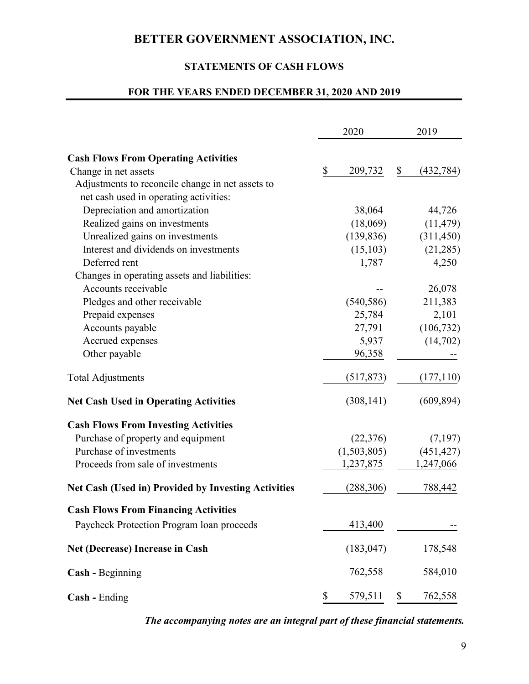# **STATEMENTS OF CASH FLOWS**

# **FOR THE YEARS ENDED DECEMBER 31, 2020 AND 2019**

|                                                            | 2020            | 2019             |
|------------------------------------------------------------|-----------------|------------------|
| <b>Cash Flows From Operating Activities</b>                |                 |                  |
| Change in net assets                                       | \$<br>209,732   | \$<br>(432, 784) |
| Adjustments to reconcile change in net assets to           |                 |                  |
| net cash used in operating activities:                     |                 |                  |
| Depreciation and amortization                              | 38,064          | 44,726           |
| Realized gains on investments                              | (18,069)        | (11, 479)        |
| Unrealized gains on investments                            | (139, 836)      | (311, 450)       |
| Interest and dividends on investments                      | (15, 103)       | (21, 285)        |
| Deferred rent                                              | 1,787           | 4,250            |
| Changes in operating assets and liabilities:               |                 |                  |
| Accounts receivable                                        |                 | 26,078           |
| Pledges and other receivable                               | (540, 586)      | 211,383          |
| Prepaid expenses                                           | 25,784          | 2,101            |
|                                                            | 27,791          |                  |
| Accounts payable                                           |                 | (106, 732)       |
| Accrued expenses                                           | 5,937<br>96,358 | (14,702)         |
| Other payable                                              |                 |                  |
| <b>Total Adjustments</b>                                   | (517, 873)      | (177,110)        |
| <b>Net Cash Used in Operating Activities</b>               | (308, 141)      | (609, 894)       |
| <b>Cash Flows From Investing Activities</b>                |                 |                  |
| Purchase of property and equipment                         | (22,376)        | (7, 197)         |
| Purchase of investments                                    | (1,503,805)     | (451, 427)       |
| Proceeds from sale of investments                          | 1,237,875       | 1,247,066        |
| <b>Net Cash (Used in) Provided by Investing Activities</b> | (288, 306)      | 788,442          |
| <b>Cash Flows From Financing Activities</b>                |                 |                  |
| Paycheck Protection Program loan proceeds                  | 413,400         |                  |
| <b>Net (Decrease) Increase in Cash</b>                     | (183, 047)      | 178,548          |
| Cash - Beginning                                           | 762,558         | 584,010          |
| Cash - Ending                                              | \$<br>579,511   | \$<br>762,558    |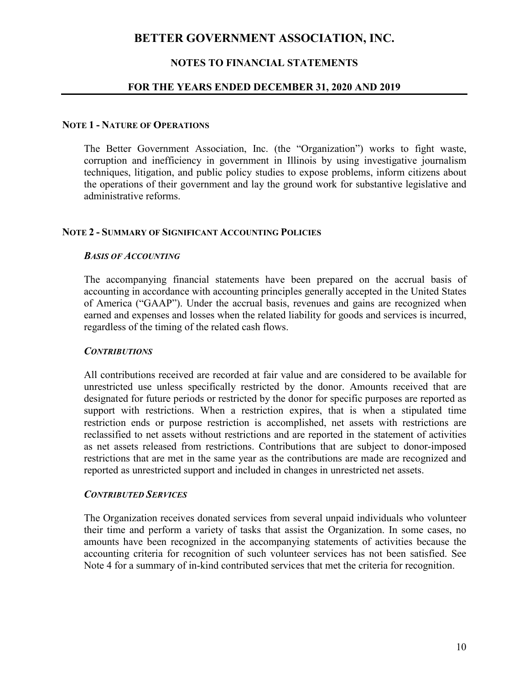## **NOTES TO FINANCIAL STATEMENTS**

### **FOR THE YEARS ENDED DECEMBER 31, 2020 AND 2019**

## **NOTE 1 - NATURE OF OPERATIONS**

The Better Government Association, Inc. (the "Organization") works to fight waste, corruption and inefficiency in government in Illinois by using investigative journalism techniques, litigation, and public policy studies to expose problems, inform citizens about the operations of their government and lay the ground work for substantive legislative and administrative reforms.

#### **NOTE 2 - SUMMARY OF SIGNIFICANT ACCOUNTING POLICIES**

#### *BASIS OF ACCOUNTING*

The accompanying financial statements have been prepared on the accrual basis of accounting in accordance with accounting principles generally accepted in the United States of America ("GAAP"). Under the accrual basis, revenues and gains are recognized when earned and expenses and losses when the related liability for goods and services is incurred, regardless of the timing of the related cash flows.

#### *CONTRIBUTIONS*

All contributions received are recorded at fair value and are considered to be available for unrestricted use unless specifically restricted by the donor. Amounts received that are designated for future periods or restricted by the donor for specific purposes are reported as support with restrictions. When a restriction expires, that is when a stipulated time restriction ends or purpose restriction is accomplished, net assets with restrictions are reclassified to net assets without restrictions and are reported in the statement of activities as net assets released from restrictions. Contributions that are subject to donor-imposed restrictions that are met in the same year as the contributions are made are recognized and reported as unrestricted support and included in changes in unrestricted net assets.

## *CONTRIBUTED SERVICES*

The Organization receives donated services from several unpaid individuals who volunteer their time and perform a variety of tasks that assist the Organization. In some cases, no amounts have been recognized in the accompanying statements of activities because the accounting criteria for recognition of such volunteer services has not been satisfied. See Note 4 for a summary of in-kind contributed services that met the criteria for recognition.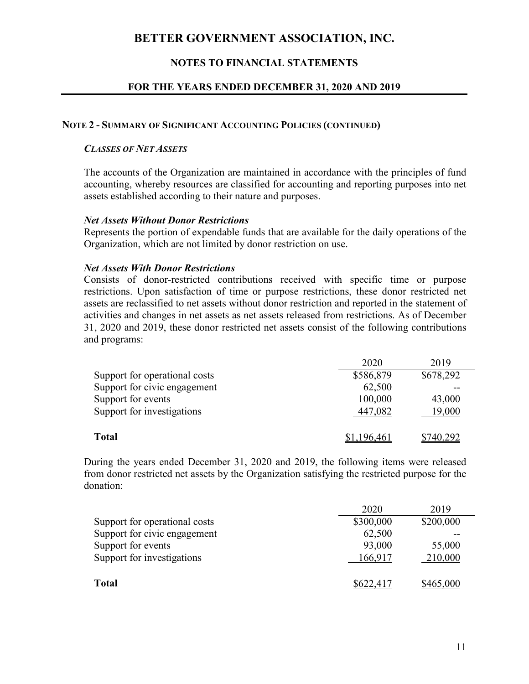## **NOTES TO FINANCIAL STATEMENTS**

## **FOR THE YEARS ENDED DECEMBER 31, 2020 AND 2019**

## **NOTE 2 - SUMMARY OF SIGNIFICANT ACCOUNTING POLICIES (CONTINUED)**

#### *CLASSES OF NET ASSETS*

The accounts of the Organization are maintained in accordance with the principles of fund accounting, whereby resources are classified for accounting and reporting purposes into net assets established according to their nature and purposes.

#### *Net Assets Without Donor Restrictions*

Represents the portion of expendable funds that are available for the daily operations of the Organization, which are not limited by donor restriction on use.

## *Net Assets With Donor Restrictions*

Consists of donor-restricted contributions received with specific time or purpose restrictions. Upon satisfaction of time or purpose restrictions, these donor restricted net assets are reclassified to net assets without donor restriction and reported in the statement of activities and changes in net assets as net assets released from restrictions. As of December 31, 2020 and 2019, these donor restricted net assets consist of the following contributions and programs:

|                               | 2020        | 2019      |
|-------------------------------|-------------|-----------|
| Support for operational costs | \$586,879   | \$678,292 |
| Support for civic engagement  | 62,500      |           |
| Support for events            | 100,000     | 43,000    |
| Support for investigations    | 447,082     | 19,000    |
|                               |             |           |
| <b>Total</b>                  | \$1.196.461 | \$740,292 |

During the years ended December 31, 2020 and 2019, the following items were released from donor restricted net assets by the Organization satisfying the restricted purpose for the donation:

|                               | 2020      | 2019      |
|-------------------------------|-----------|-----------|
| Support for operational costs | \$300,000 | \$200,000 |
| Support for civic engagement  | 62,500    |           |
| Support for events            | 93,000    | 55,000    |
| Support for investigations    | 166.917   | 210,000   |
|                               |           |           |
| <b>Total</b>                  | \$622,417 | \$465,000 |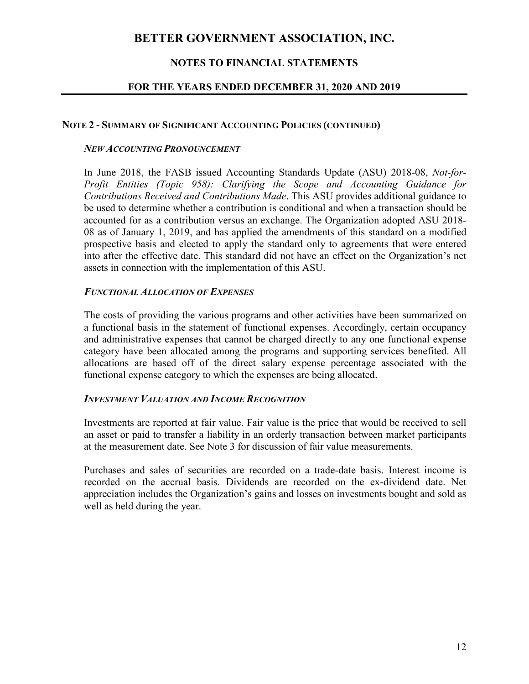## **NOTES TO FINANCIAL STATEMENTS**

## **FOR THE YEARS ENDED DECEMBER 31, 2020 AND 2019**

#### **NOTE 2 - SUMMARY OF SIGNIFICANT ACCOUNTING POLICIES (CONTINUED)**

#### *NEW ACCOUNTING PRONOUNCEMENT*

In June 2018, the FASB issued Accounting Standards Update (ASU) 2018-08, *Not-for-Profit Entities (Topic 958): Clarifying the Scope and Accounting Guidance for Contributions Received and Contributions Made*. This ASU provides additional guidance to be used to determine whether a contribution is conditional and when a transaction should be accounted for as a contribution versus an exchange. The Organization adopted ASU 2018- 08 as of January 1, 2019, and has applied the amendments of this standard on a modified prospective basis and elected to apply the standard only to agreements that were entered into after the effective date. This standard did not have an effect on the Organization's net assets in connection with the implementation of this ASU.

### *FUNCTIONAL ALLOCATION OF EXPENSES*

The costs of providing the various programs and other activities have been summarized on a functional basis in the statement of functional expenses. Accordingly, certain occupancy and administrative expenses that cannot be charged directly to any one functional expense category have been allocated among the programs and supporting services benefited. All allocations are based off of the direct salary expense percentage associated with the functional expense category to which the expenses are being allocated.

### *INVESTMENT VALUATION AND INCOME RECOGNITION*

Investments are reported at fair value. Fair value is the price that would be received to sell an asset or paid to transfer a liability in an orderly transaction between market participants at the measurement date. See Note 3 for discussion of fair value measurements.

Purchases and sales of securities are recorded on a trade-date basis. Interest income is recorded on the accrual basis. Dividends are recorded on the ex-dividend date. Net appreciation includes the Organization's gains and losses on investments bought and sold as well as held during the year.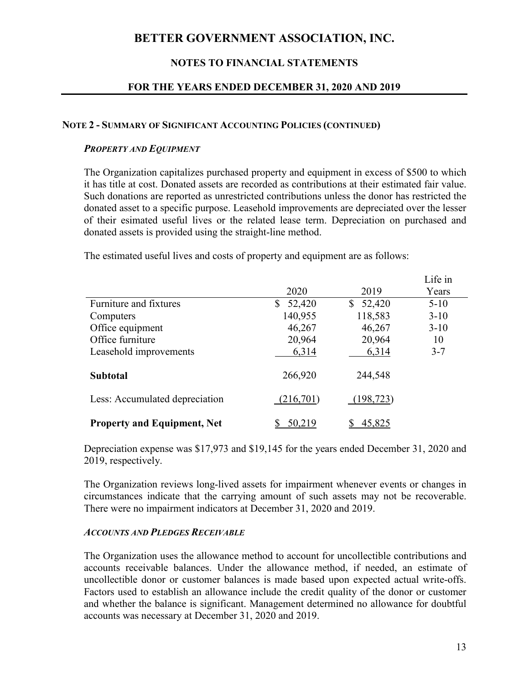## **NOTES TO FINANCIAL STATEMENTS**

## **FOR THE YEARS ENDED DECEMBER 31, 2020 AND 2019**

#### **NOTE 2 - SUMMARY OF SIGNIFICANT ACCOUNTING POLICIES (CONTINUED)**

### *PROPERTY AND EQUIPMENT*

The Organization capitalizes purchased property and equipment in excess of \$500 to which it has title at cost. Donated assets are recorded as contributions at their estimated fair value. Such donations are reported as unrestricted contributions unless the donor has restricted the donated asset to a specific purpose. Leasehold improvements are depreciated over the lesser of their esimated useful lives or the related lease term. Depreciation on purchased and donated assets is provided using the straight-line method.

The estimated useful lives and costs of property and equipment are as follows:

|                                    |              |          | Life in |
|------------------------------------|--------------|----------|---------|
|                                    | 2020         | 2019     | Years   |
| Furniture and fixtures             | 52,420<br>\$ | \$52,420 | $5-10$  |
| Computers                          | 140,955      | 118,583  | $3-10$  |
| Office equipment                   | 46,267       | 46,267   | $3-10$  |
| Office furniture                   | 20,964       | 20,964   | 10      |
| Leasehold improvements             | 6,314        | 6,314    | $3 - 7$ |
| <b>Subtotal</b>                    | 266,920      | 244,548  |         |
| Less: Accumulated depreciation     | (216,701)    | 198,723) |         |
| <b>Property and Equipment, Net</b> | 50,219       | 45,825   |         |

Depreciation expense was \$17,973 and \$19,145 for the years ended December 31, 2020 and 2019, respectively.

The Organization reviews long-lived assets for impairment whenever events or changes in circumstances indicate that the carrying amount of such assets may not be recoverable. There were no impairment indicators at December 31, 2020 and 2019.

## *ACCOUNTS AND PLEDGES RECEIVABLE*

The Organization uses the allowance method to account for uncollectible contributions and accounts receivable balances. Under the allowance method, if needed, an estimate of uncollectible donor or customer balances is made based upon expected actual write-offs. Factors used to establish an allowance include the credit quality of the donor or customer and whether the balance is significant. Management determined no allowance for doubtful accounts was necessary at December 31, 2020 and 2019.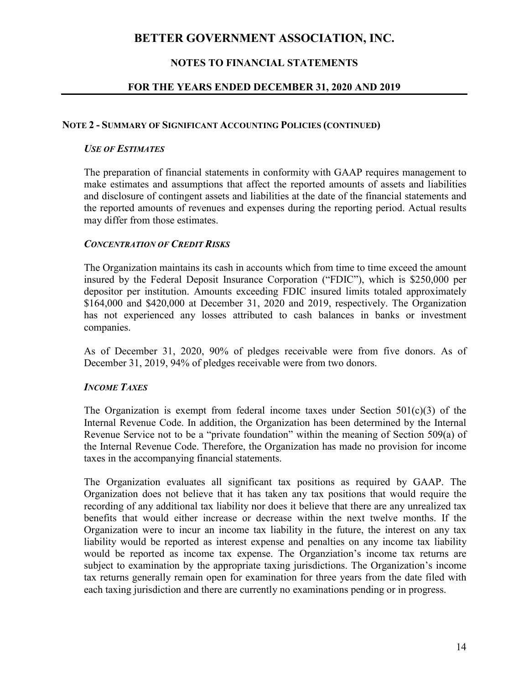## **NOTES TO FINANCIAL STATEMENTS**

## **FOR THE YEARS ENDED DECEMBER 31, 2020 AND 2019**

#### **NOTE 2 - SUMMARY OF SIGNIFICANT ACCOUNTING POLICIES (CONTINUED)**

### *USE OF ESTIMATES*

The preparation of financial statements in conformity with GAAP requires management to make estimates and assumptions that affect the reported amounts of assets and liabilities and disclosure of contingent assets and liabilities at the date of the financial statements and the reported amounts of revenues and expenses during the reporting period. Actual results may differ from those estimates.

### *CONCENTRATION OF CREDIT RISKS*

The Organization maintains its cash in accounts which from time to time exceed the amount insured by the Federal Deposit Insurance Corporation ("FDIC"), which is \$250,000 per depositor per institution. Amounts exceeding FDIC insured limits totaled approximately \$164,000 and \$420,000 at December 31, 2020 and 2019, respectively. The Organization has not experienced any losses attributed to cash balances in banks or investment companies.

As of December 31, 2020, 90% of pledges receivable were from five donors. As of December 31, 2019, 94% of pledges receivable were from two donors.

## *INCOME TAXES*

The Organization is exempt from federal income taxes under Section  $501(c)(3)$  of the Internal Revenue Code. In addition, the Organization has been determined by the Internal Revenue Service not to be a "private foundation" within the meaning of Section 509(a) of the Internal Revenue Code. Therefore, the Organization has made no provision for income taxes in the accompanying financial statements.

The Organization evaluates all significant tax positions as required by GAAP. The Organization does not believe that it has taken any tax positions that would require the recording of any additional tax liability nor does it believe that there are any unrealized tax benefits that would either increase or decrease within the next twelve months. If the Organization were to incur an income tax liability in the future, the interest on any tax liability would be reported as interest expense and penalties on any income tax liability would be reported as income tax expense. The Organziation's income tax returns are subject to examination by the appropriate taxing jurisdictions. The Organization's income tax returns generally remain open for examination for three years from the date filed with each taxing jurisdiction and there are currently no examinations pending or in progress.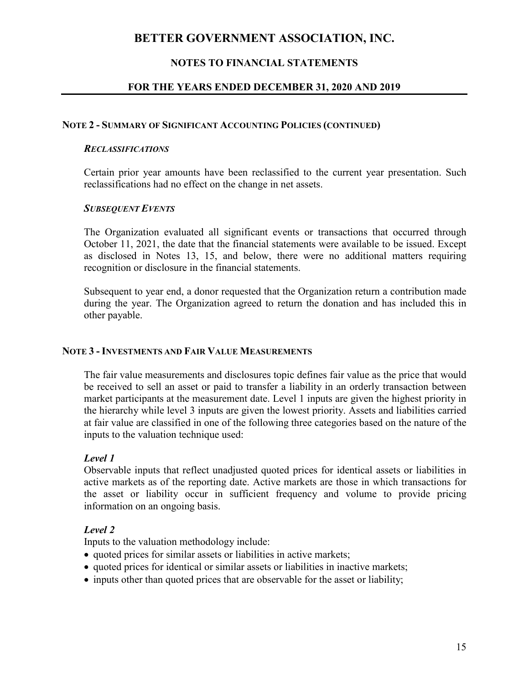## **NOTES TO FINANCIAL STATEMENTS**

## **FOR THE YEARS ENDED DECEMBER 31, 2020 AND 2019**

#### **NOTE 2 - SUMMARY OF SIGNIFICANT ACCOUNTING POLICIES (CONTINUED)**

#### *RECLASSIFICATIONS*

Certain prior year amounts have been reclassified to the current year presentation. Such reclassifications had no effect on the change in net assets.

#### *SUBSEQUENT EVENTS*

The Organization evaluated all significant events or transactions that occurred through October 11, 2021, the date that the financial statements were available to be issued. Except as disclosed in Notes 13, 15, and below, there were no additional matters requiring recognition or disclosure in the financial statements.

Subsequent to year end, a donor requested that the Organization return a contribution made during the year. The Organization agreed to return the donation and has included this in other payable.

## **NOTE 3 - INVESTMENTS AND FAIR VALUE MEASUREMENTS**

The fair value measurements and disclosures topic defines fair value as the price that would be received to sell an asset or paid to transfer a liability in an orderly transaction between market participants at the measurement date. Level 1 inputs are given the highest priority in the hierarchy while level 3 inputs are given the lowest priority. Assets and liabilities carried at fair value are classified in one of the following three categories based on the nature of the inputs to the valuation technique used:

#### *Level 1*

Observable inputs that reflect unadjusted quoted prices for identical assets or liabilities in active markets as of the reporting date. Active markets are those in which transactions for the asset or liability occur in sufficient frequency and volume to provide pricing information on an ongoing basis.

#### *Level 2*

Inputs to the valuation methodology include:

- quoted prices for similar assets or liabilities in active markets;
- quoted prices for identical or similar assets or liabilities in inactive markets;
- inputs other than quoted prices that are observable for the asset or liability;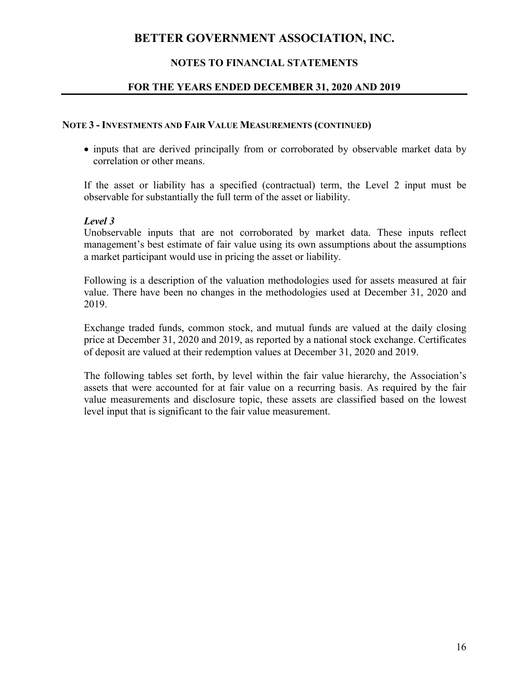## **NOTES TO FINANCIAL STATEMENTS**

## **FOR THE YEARS ENDED DECEMBER 31, 2020 AND 2019**

#### **NOTE 3 - INVESTMENTS AND FAIR VALUE MEASUREMENTS (CONTINUED)**

• inputs that are derived principally from or corroborated by observable market data by correlation or other means.

If the asset or liability has a specified (contractual) term, the Level 2 input must be observable for substantially the full term of the asset or liability.

### *Level 3*

Unobservable inputs that are not corroborated by market data. These inputs reflect management's best estimate of fair value using its own assumptions about the assumptions a market participant would use in pricing the asset or liability.

Following is a description of the valuation methodologies used for assets measured at fair value. There have been no changes in the methodologies used at December 31, 2020 and 2019.

Exchange traded funds, common stock, and mutual funds are valued at the daily closing price at December 31, 2020 and 2019, as reported by a national stock exchange. Certificates of deposit are valued at their redemption values at December 31, 2020 and 2019.

The following tables set forth, by level within the fair value hierarchy, the Association's assets that were accounted for at fair value on a recurring basis. As required by the fair value measurements and disclosure topic, these assets are classified based on the lowest level input that is significant to the fair value measurement.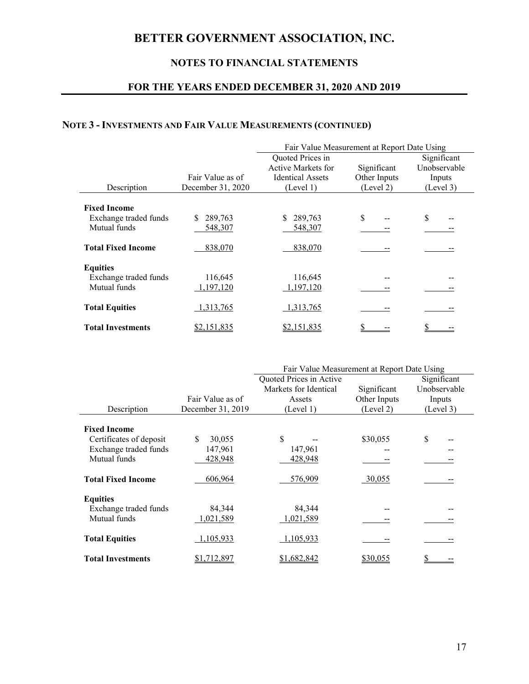# **NOTES TO FINANCIAL STATEMENTS**

# **FOR THE YEARS ENDED DECEMBER 31, 2020 AND 2019**

## **NOTE 3 - INVESTMENTS AND FAIR VALUE MEASUREMENTS (CONTINUED)**

|                           |                   | Fair Value Measurement at Report Date Using |              |              |  |
|---------------------------|-------------------|---------------------------------------------|--------------|--------------|--|
|                           |                   | Quoted Prices in                            |              | Significant  |  |
|                           |                   | Active Markets for                          | Significant  | Unobservable |  |
|                           | Fair Value as of  | <b>Identical Assets</b>                     | Other Inputs | Inputs       |  |
| Description               | December 31, 2020 | (Level 1)                                   | (Level 2)    | (Level 3)    |  |
|                           |                   |                                             |              |              |  |
| <b>Fixed Income</b>       |                   |                                             |              |              |  |
| Exchange traded funds     | 289,763<br>\$.    | 289,763                                     | \$           | \$           |  |
| Mutual funds              | 548,307           | 548,307                                     |              |              |  |
|                           |                   |                                             |              |              |  |
| <b>Total Fixed Income</b> | 838,070           | 838,070                                     |              |              |  |
| <b>Equities</b>           |                   |                                             |              |              |  |
| Exchange traded funds     | 116,645           | 116,645                                     |              |              |  |
| Mutual funds              | 1,197,120         | 1,197,120                                   |              |              |  |
|                           |                   |                                             |              |              |  |
| <b>Total Equities</b>     | 1,313,765         | 1,313,765                                   |              |              |  |
|                           |                   |                                             |              |              |  |
| <b>Total Investments</b>  | \$2,151,835       | <u>\$2,151,835</u>                          |              |              |  |

|                           |                   | Fair Value Measurement at Report Date Using |              |              |  |
|---------------------------|-------------------|---------------------------------------------|--------------|--------------|--|
|                           |                   | Quoted Prices in Active                     | Significant  |              |  |
|                           |                   | Markets for Identical                       | Significant  | Unobservable |  |
|                           | Fair Value as of  | Assets                                      | Other Inputs | Inputs       |  |
| Description               | December 31, 2019 | (Level 1)                                   | (Level 2)    | (Level 3)    |  |
|                           |                   |                                             |              |              |  |
| <b>Fixed Income</b>       |                   |                                             |              |              |  |
| Certificates of deposit   | \$<br>30,055      | \$                                          | \$30,055     | \$           |  |
| Exchange traded funds     | 147,961           | 147,961                                     |              |              |  |
| Mutual funds              | 428,948           | 428,948                                     |              |              |  |
|                           |                   |                                             |              |              |  |
| <b>Total Fixed Income</b> | 606,964           | 576,909                                     | 30,055       |              |  |
|                           |                   |                                             |              |              |  |
| <b>Equities</b>           |                   |                                             |              |              |  |
| Exchange traded funds     | 84,344            | 84,344                                      |              |              |  |
| Mutual funds              | 1,021,589         | 1,021,589                                   |              |              |  |
| <b>Total Equities</b>     | 1,105,933         | 1,105,933                                   |              |              |  |
|                           |                   |                                             |              |              |  |
| <b>Total Investments</b>  | \$1,712,897       | <u>\$1,682,842</u>                          | \$30.055     |              |  |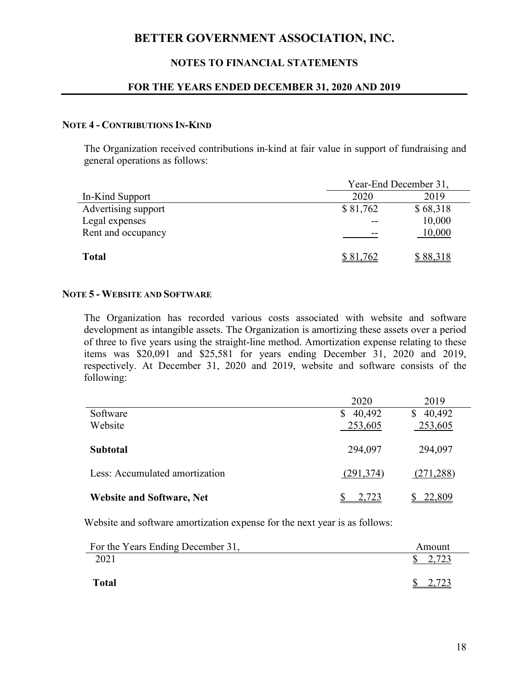## **NOTES TO FINANCIAL STATEMENTS**

## **FOR THE YEARS ENDED DECEMBER 31, 2020 AND 2019**

## **NOTE 4 - CONTRIBUTIONS IN-KIND**

The Organization received contributions in-kind at fair value in support of fundraising and general operations as follows:

|                     | Year-End December 31, |          |  |
|---------------------|-----------------------|----------|--|
| In-Kind Support     | 2020                  | 2019     |  |
| Advertising support | \$81,762              | \$68,318 |  |
| Legal expenses      |                       | 10,000   |  |
| Rent and occupancy  | --                    | 10,000   |  |
| <b>Total</b>        | \$81,762              | \$88,318 |  |

## **NOTE 5 - WEBSITE AND SOFTWARE**

The Organization has recorded various costs associated with website and software development as intangible assets. The Organization is amortizing these assets over a period of three to five years using the straight-line method. Amortization expense relating to these items was \$20,091 and \$25,581 for years ending December 31, 2020 and 2019, respectively. At December 31, 2020 and 2019, website and software consists of the following:

|                                  | 2020         | 2019         |  |
|----------------------------------|--------------|--------------|--|
| Software                         | 40,492<br>\$ | 40,492<br>\$ |  |
| Website                          | 253,605      | 253,605      |  |
| <b>Subtotal</b>                  | 294,097      | 294,097      |  |
| Less: Accumulated amortization   | (291, 374)   | (271, 288)   |  |
| <b>Website and Software, Net</b> | 2,723        | 22,809       |  |

Website and software amortization expense for the next year is as follows:

| For the Years Ending December 31, | Amount |
|-----------------------------------|--------|
| 2021                              | 2,723  |
| <b>Total</b>                      | 2723   |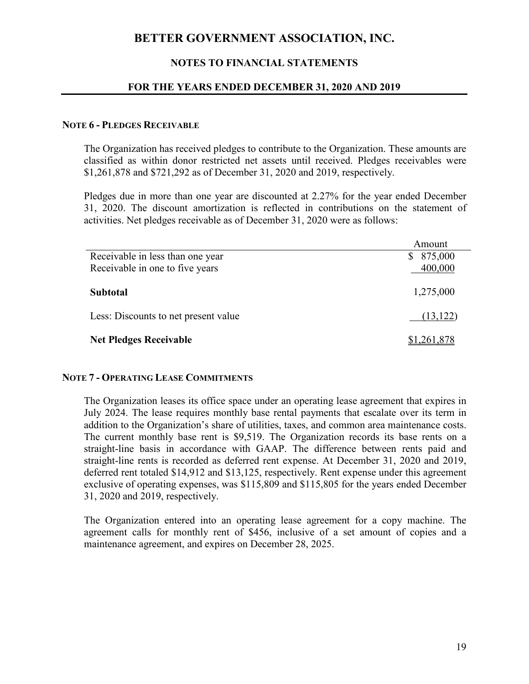## **NOTES TO FINANCIAL STATEMENTS**

### **FOR THE YEARS ENDED DECEMBER 31, 2020 AND 2019**

## **NOTE 6 - PLEDGES RECEIVABLE**

The Organization has received pledges to contribute to the Organization. These amounts are classified as within donor restricted net assets until received. Pledges receivables were \$1,261,878 and \$721,292 as of December 31, 2020 and 2019, respectively.

Pledges due in more than one year are discounted at 2.27% for the year ended December 31, 2020. The discount amortization is reflected in contributions on the statement of activities. Net pledges receivable as of December 31, 2020 were as follows:

|                                      | Amount       |
|--------------------------------------|--------------|
| Receivable in less than one year     | 875,000<br>S |
| Receivable in one to five years      | 400,000      |
|                                      |              |
| <b>Subtotal</b>                      | 1,275,000    |
|                                      |              |
| Less: Discounts to net present value | (13, 122)    |
|                                      |              |
| <b>Net Pledges Receivable</b>        | \$1,261,878  |

#### **NOTE 7 - OPERATING LEASE COMMITMENTS**

The Organization leases its office space under an operating lease agreement that expires in July 2024. The lease requires monthly base rental payments that escalate over its term in addition to the Organization's share of utilities, taxes, and common area maintenance costs. The current monthly base rent is \$9,519. The Organization records its base rents on a straight-line basis in accordance with GAAP. The difference between rents paid and straight-line rents is recorded as deferred rent expense. At December 31, 2020 and 2019, deferred rent totaled \$14,912 and \$13,125, respectively. Rent expense under this agreement exclusive of operating expenses, was \$115,809 and \$115,805 for the years ended December 31, 2020 and 2019, respectively.

The Organization entered into an operating lease agreement for a copy machine. The agreement calls for monthly rent of \$456, inclusive of a set amount of copies and a maintenance agreement, and expires on December 28, 2025.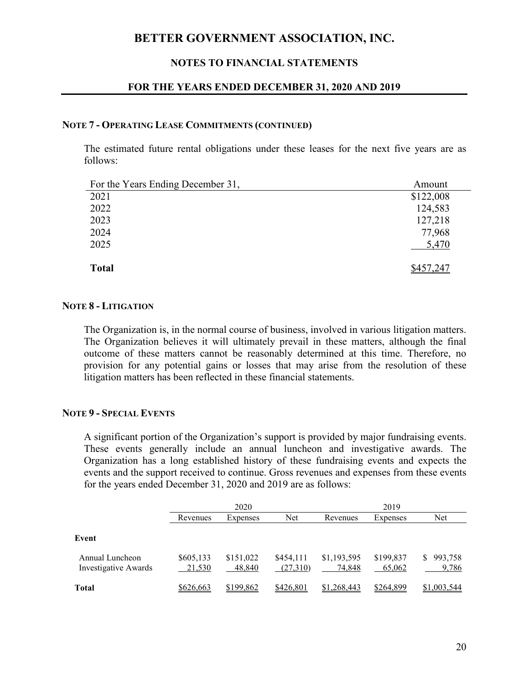## **NOTES TO FINANCIAL STATEMENTS**

#### **FOR THE YEARS ENDED DECEMBER 31, 2020 AND 2019**

## **NOTE 7 - OPERATING LEASE COMMITMENTS (CONTINUED)**

The estimated future rental obligations under these leases for the next five years are as follows:

| For the Years Ending December 31, | Amount    |
|-----------------------------------|-----------|
| 2021                              | \$122,008 |
| 2022                              | 124,583   |
| 2023                              | 127,218   |
| 2024                              | 77,968    |
| 2025                              | 5,470     |
| <b>Total</b>                      | \$457,247 |

#### **NOTE 8 - LITIGATION**

The Organization is, in the normal course of business, involved in various litigation matters. The Organization believes it will ultimately prevail in these matters, although the final outcome of these matters cannot be reasonably determined at this time. Therefore, no provision for any potential gains or losses that may arise from the resolution of these litigation matters has been reflected in these financial statements.

## **NOTE 9 - SPECIAL EVENTS**

A significant portion of the Organization's support is provided by major fundraising events. These events generally include an annual luncheon and investigative awards. The Organization has a long established history of these fundraising events and expects the events and the support received to continue. Gross revenues and expenses from these events for the years ended December 31, 2020 and 2019 are as follows:

|                                         | 2020                |                     | 2019                  |                       |                     |                        |
|-----------------------------------------|---------------------|---------------------|-----------------------|-----------------------|---------------------|------------------------|
|                                         | Revenues            | Expenses            | Net                   | Revenues              | Expenses            | Net                    |
| Event                                   |                     |                     |                       |                       |                     |                        |
| Annual Luncheon<br>Investigative Awards | \$605,133<br>21,530 | \$151,022<br>48,840 | \$454,111<br>(27,310) | \$1,193,595<br>74,848 | \$199,837<br>65,062 | 993,758<br>S.<br>9,786 |
| <b>Total</b>                            | \$626,663           | \$199,862           | \$426,801             | \$1,268,443           | \$264,899           | \$1,003,544            |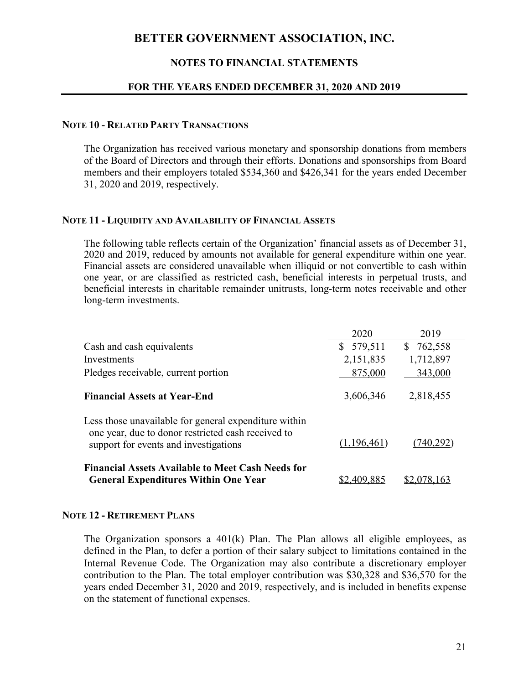## **NOTES TO FINANCIAL STATEMENTS**

#### **FOR THE YEARS ENDED DECEMBER 31, 2020 AND 2019**

## **NOTE 10 - RELATED PARTY TRANSACTIONS**

The Organization has received various monetary and sponsorship donations from members of the Board of Directors and through their efforts. Donations and sponsorships from Board members and their employers totaled \$534,360 and \$426,341 for the years ended December 31, 2020 and 2019, respectively.

#### **NOTE 11 - LIQUIDITY AND AVAILABILITY OF FINANCIAL ASSETS**

The following table reflects certain of the Organization' financial assets as of December 31, 2020 and 2019, reduced by amounts not available for general expenditure within one year. Financial assets are considered unavailable when illiquid or not convertible to cash within one year, or are classified as restricted cash, beneficial interests in perpetual trusts, and beneficial interests in charitable remainder unitrusts, long-term notes receivable and other long-term investments.

|                                                                                                                                                      | 2020        | 2019       |
|------------------------------------------------------------------------------------------------------------------------------------------------------|-------------|------------|
| Cash and cash equivalents                                                                                                                            | \$579,511   | \$762,558  |
| Investments                                                                                                                                          | 2,151,835   | 1,712,897  |
| Pledges receivable, current portion                                                                                                                  | 875,000     | 343,000    |
| <b>Financial Assets at Year-End</b>                                                                                                                  | 3,606,346   | 2,818,455  |
| Less those unavailable for general expenditure within<br>one year, due to donor restricted cash received to<br>support for events and investigations | (1,196,461) | (740, 292) |
| Financial Assets Available to Meet Cash Needs for<br><b>General Expenditures Within One Year</b>                                                     | 2.409.885   |            |

#### **NOTE 12 - RETIREMENT PLANS**

The Organization sponsors a 401(k) Plan. The Plan allows all eligible employees, as defined in the Plan, to defer a portion of their salary subject to limitations contained in the Internal Revenue Code. The Organization may also contribute a discretionary employer contribution to the Plan. The total employer contribution was \$30,328 and \$36,570 for the years ended December 31, 2020 and 2019, respectively, and is included in benefits expense on the statement of functional expenses.